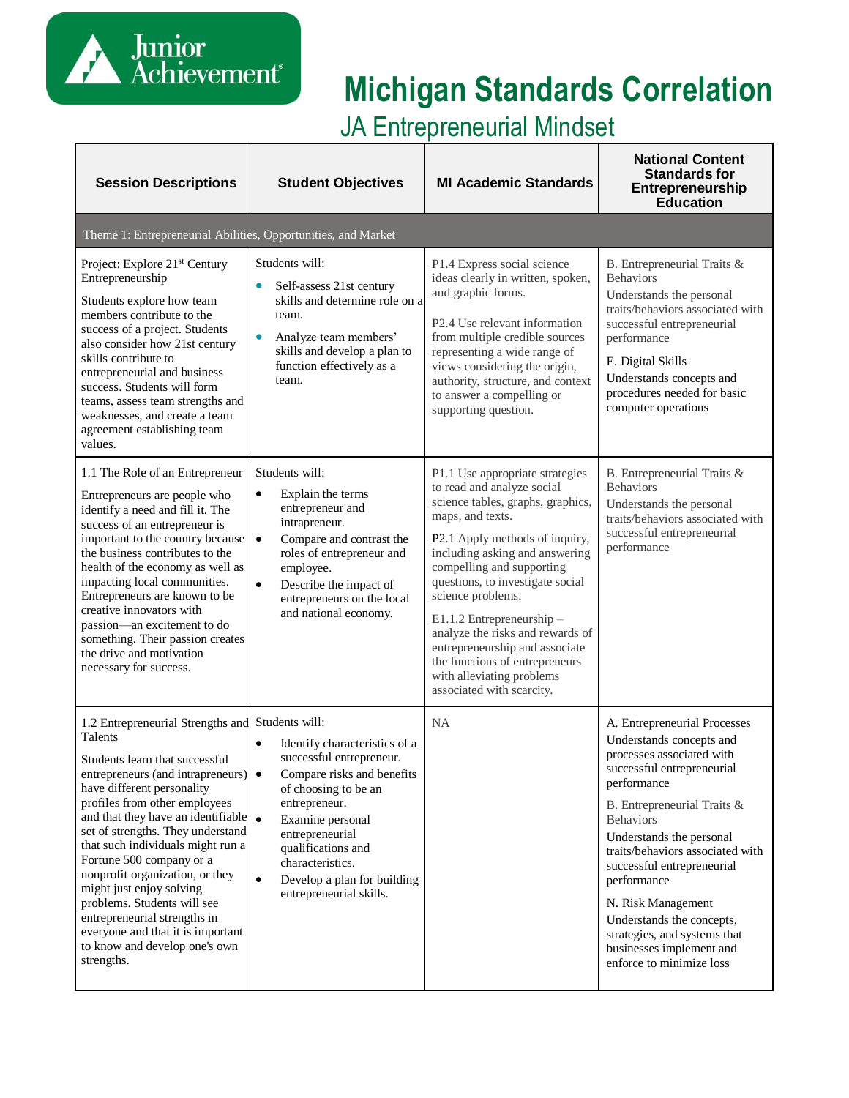

# **Michigan Standards Correlation**

JA Entrepreneurial Mindset

| <b>Session Descriptions</b>                                                                                                                                                                                                                                                                                                                                                                                                                                                                                                                                       | <b>Student Objectives</b>                                                                                                                                                                                                                                                                                          | <b>MI Academic Standards</b>                                                                                                                                                                                                                                                                                                                                                                                                                                                    | <b>National Content</b><br><b>Standards for</b><br>Entrepreneurship<br><b>Education</b>                                                                                                                                                                                                                                                                                                                                                       |
|-------------------------------------------------------------------------------------------------------------------------------------------------------------------------------------------------------------------------------------------------------------------------------------------------------------------------------------------------------------------------------------------------------------------------------------------------------------------------------------------------------------------------------------------------------------------|--------------------------------------------------------------------------------------------------------------------------------------------------------------------------------------------------------------------------------------------------------------------------------------------------------------------|---------------------------------------------------------------------------------------------------------------------------------------------------------------------------------------------------------------------------------------------------------------------------------------------------------------------------------------------------------------------------------------------------------------------------------------------------------------------------------|-----------------------------------------------------------------------------------------------------------------------------------------------------------------------------------------------------------------------------------------------------------------------------------------------------------------------------------------------------------------------------------------------------------------------------------------------|
| Theme 1: Entrepreneurial Abilities, Opportunities, and Market                                                                                                                                                                                                                                                                                                                                                                                                                                                                                                     |                                                                                                                                                                                                                                                                                                                    |                                                                                                                                                                                                                                                                                                                                                                                                                                                                                 |                                                                                                                                                                                                                                                                                                                                                                                                                                               |
| Project: Explore 21 <sup>st</sup> Century<br>Entrepreneurship<br>Students explore how team<br>members contribute to the<br>success of a project. Students<br>also consider how 21st century<br>skills contribute to<br>entrepreneurial and business<br>success. Students will form<br>teams, assess team strengths and<br>weaknesses, and create a team<br>agreement establishing team<br>values.                                                                                                                                                                 | Students will:<br>Self-assess 21st century<br>$\bullet$<br>skills and determine role on a<br>team.<br>$\bullet$<br>Analyze team members'<br>skills and develop a plan to<br>function effectively as a<br>team.                                                                                                     | P1.4 Express social science<br>ideas clearly in written, spoken,<br>and graphic forms.<br>P <sub>2.4</sub> Use relevant information<br>from multiple credible sources<br>representing a wide range of<br>views considering the origin,<br>authority, structure, and context<br>to answer a compelling or<br>supporting question.                                                                                                                                                | B. Entrepreneurial Traits &<br><b>Behaviors</b><br>Understands the personal<br>traits/behaviors associated with<br>successful entrepreneurial<br>performance<br>E. Digital Skills<br>Understands concepts and<br>procedures needed for basic<br>computer operations                                                                                                                                                                           |
| 1.1 The Role of an Entrepreneur<br>Entrepreneurs are people who<br>identify a need and fill it. The<br>success of an entrepreneur is<br>important to the country because<br>the business contributes to the<br>health of the economy as well as<br>impacting local communities.<br>Entrepreneurs are known to be<br>creative innovators with<br>passion—an excitement to do<br>something. Their passion creates<br>the drive and motivation<br>necessary for success.                                                                                             | Students will:<br>$\bullet$<br>Explain the terms<br>entrepreneur and<br>intrapreneur.<br>Compare and contrast the<br>$\bullet$<br>roles of entrepreneur and<br>employee.<br>$\bullet$<br>Describe the impact of<br>entrepreneurs on the local<br>and national economy.                                             | P1.1 Use appropriate strategies<br>to read and analyze social<br>science tables, graphs, graphics,<br>maps, and texts.<br>P2.1 Apply methods of inquiry,<br>including asking and answering<br>compelling and supporting<br>questions, to investigate social<br>science problems.<br>E1.1.2 Entrepreneurship -<br>analyze the risks and rewards of<br>entrepreneurship and associate<br>the functions of entrepreneurs<br>with alleviating problems<br>associated with scarcity. | B. Entrepreneurial Traits &<br><b>Behaviors</b><br>Understands the personal<br>traits/behaviors associated with<br>successful entrepreneurial<br>performance                                                                                                                                                                                                                                                                                  |
| 1.2 Entrepreneurial Strengths and Students will:<br>Talents<br>Students learn that successful<br>entrepreneurs (and intrapreneurs) •<br>have different personality<br>profiles from other employees<br>and that they have an identifiable<br>set of strengths. They understand<br>that such individuals might run a<br>Fortune 500 company or a<br>nonprofit organization, or they<br>might just enjoy solving<br>problems. Students will see<br>entrepreneurial strengths in<br>everyone and that it is important<br>to know and develop one's own<br>strengths. | Identify characteristics of a<br>$\bullet$<br>successful entrepreneur.<br>Compare risks and benefits<br>of choosing to be an<br>entrepreneur.<br>$\bullet$<br>Examine personal<br>entrepreneurial<br>qualifications and<br>characteristics.<br>Develop a plan for building<br>$\bullet$<br>entrepreneurial skills. | <b>NA</b>                                                                                                                                                                                                                                                                                                                                                                                                                                                                       | A. Entrepreneurial Processes<br>Understands concepts and<br>processes associated with<br>successful entrepreneurial<br>performance<br>B. Entrepreneurial Traits &<br><b>Behaviors</b><br>Understands the personal<br>traits/behaviors associated with<br>successful entrepreneurial<br>performance<br>N. Risk Management<br>Understands the concepts,<br>strategies, and systems that<br>businesses implement and<br>enforce to minimize loss |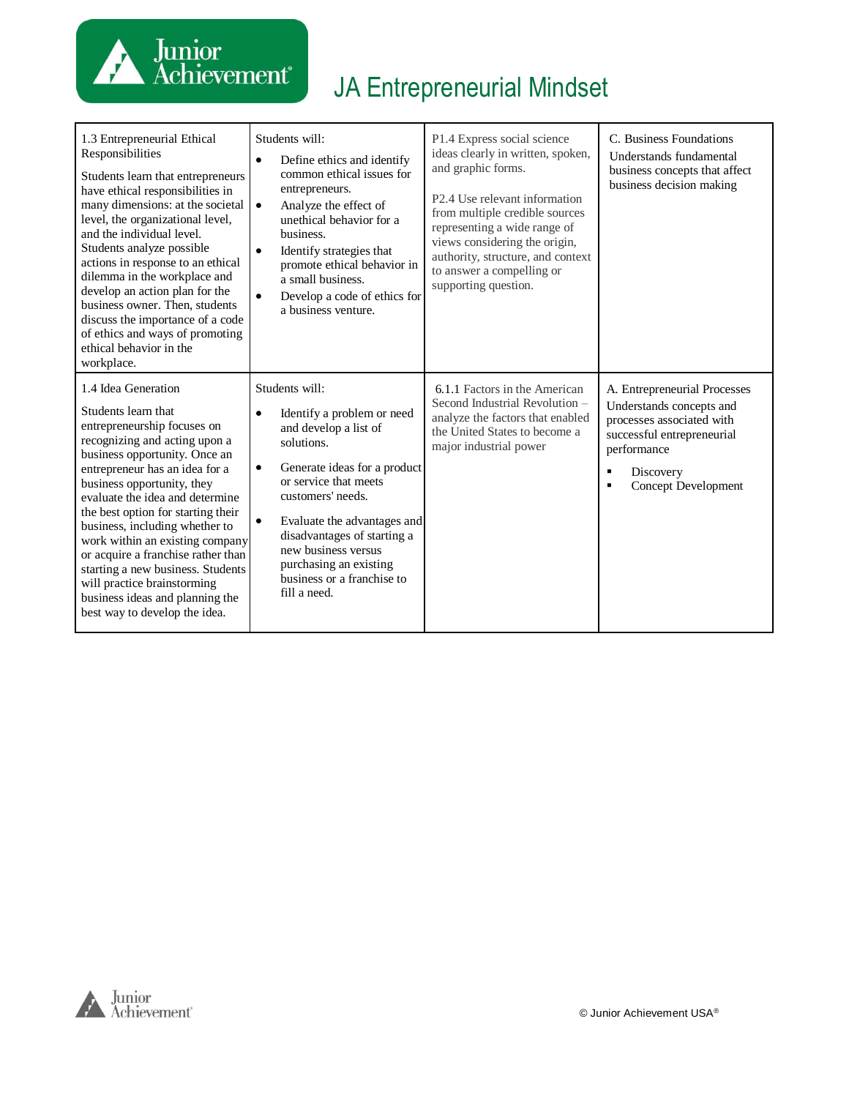

| 1.3 Entrepreneurial Ethical<br>Responsibilities<br>Students learn that entrepreneurs<br>have ethical responsibilities in<br>many dimensions: at the societal<br>level, the organizational level,<br>and the individual level.<br>Students analyze possible<br>actions in response to an ethical<br>dilemma in the workplace and<br>develop an action plan for the<br>business owner. Then, students<br>discuss the importance of a code<br>of ethics and ways of promoting<br>ethical behavior in the<br>workplace.                     | Students will:<br>Define ethics and identify<br>$\bullet$<br>common ethical issues for<br>entrepreneurs.<br>Analyze the effect of<br>$\bullet$<br>unethical behavior for a<br>business.<br>Identify strategies that<br>$\bullet$<br>promote ethical behavior in<br>a small business.<br>$\bullet$<br>Develop a code of ethics for<br>a business venture.              | P1.4 Express social science<br>ideas clearly in written, spoken,<br>and graphic forms.<br>P2.4 Use relevant information<br>from multiple credible sources<br>representing a wide range of<br>views considering the origin,<br>authority, structure, and context<br>to answer a compelling or<br>supporting question. | C. Business Foundations<br>Understands fundamental<br>business concepts that affect<br>business decision making                                                                    |
|-----------------------------------------------------------------------------------------------------------------------------------------------------------------------------------------------------------------------------------------------------------------------------------------------------------------------------------------------------------------------------------------------------------------------------------------------------------------------------------------------------------------------------------------|-----------------------------------------------------------------------------------------------------------------------------------------------------------------------------------------------------------------------------------------------------------------------------------------------------------------------------------------------------------------------|----------------------------------------------------------------------------------------------------------------------------------------------------------------------------------------------------------------------------------------------------------------------------------------------------------------------|------------------------------------------------------------------------------------------------------------------------------------------------------------------------------------|
| 1.4 Idea Generation<br>Students learn that<br>entrepreneurship focuses on<br>recognizing and acting upon a<br>business opportunity. Once an<br>entrepreneur has an idea for a<br>business opportunity, they<br>evaluate the idea and determine<br>the best option for starting their<br>business, including whether to<br>work within an existing company<br>or acquire a franchise rather than<br>starting a new business. Students<br>will practice brainstorming<br>business ideas and planning the<br>best way to develop the idea. | Students will:<br>Identify a problem or need<br>$\bullet$<br>and develop a list of<br>solutions.<br>Generate ideas for a product<br>$\bullet$<br>or service that meets<br>customers' needs.<br>Evaluate the advantages and<br>$\bullet$<br>disadvantages of starting a<br>new business versus<br>purchasing an existing<br>business or a franchise to<br>fill a need. | 6.1.1 Factors in the American<br>Second Industrial Revolution -<br>analyze the factors that enabled<br>the United States to become a<br>major industrial power                                                                                                                                                       | A. Entrepreneurial Processes<br>Understands concepts and<br>processes associated with<br>successful entrepreneurial<br>performance<br>Discovery<br>٠<br><b>Concept Development</b> |

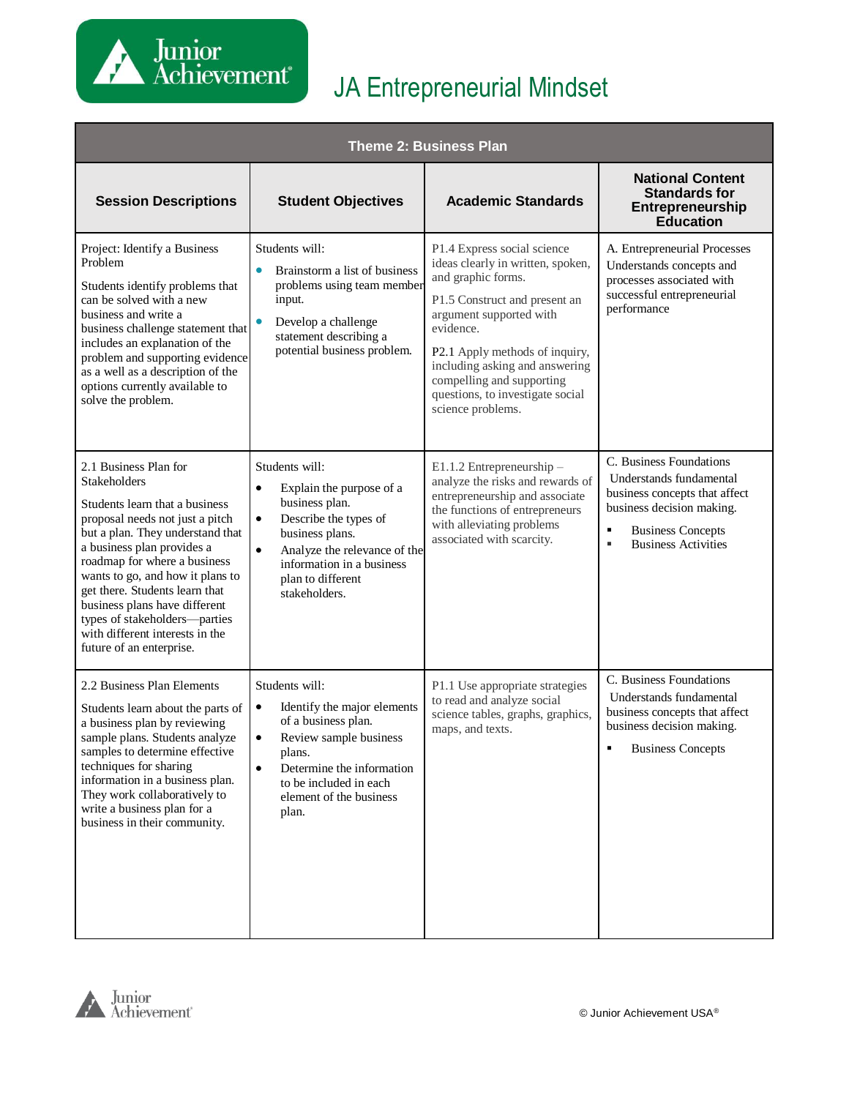

| <b>Theme 2: Business Plan</b>                                                                                                                                                                                                                                                                                                                                                                                              |                                                                                                                                                                                                                                                    |                                                                                                                                                                                                                                                                                                                           |                                                                                                                                                                                      |  |
|----------------------------------------------------------------------------------------------------------------------------------------------------------------------------------------------------------------------------------------------------------------------------------------------------------------------------------------------------------------------------------------------------------------------------|----------------------------------------------------------------------------------------------------------------------------------------------------------------------------------------------------------------------------------------------------|---------------------------------------------------------------------------------------------------------------------------------------------------------------------------------------------------------------------------------------------------------------------------------------------------------------------------|--------------------------------------------------------------------------------------------------------------------------------------------------------------------------------------|--|
| <b>Session Descriptions</b>                                                                                                                                                                                                                                                                                                                                                                                                | <b>Student Objectives</b>                                                                                                                                                                                                                          | <b>Academic Standards</b>                                                                                                                                                                                                                                                                                                 | <b>National Content</b><br><b>Standards for</b><br>Entrepreneurship<br><b>Education</b>                                                                                              |  |
| Project: Identify a Business<br>Problem<br>Students identify problems that<br>can be solved with a new<br>business and write a<br>business challenge statement that<br>includes an explanation of the<br>problem and supporting evidence<br>as a well as a description of the<br>options currently available to<br>solve the problem.                                                                                      | Students will:<br>Brainstorm a list of business<br>$\bullet$<br>problems using team member<br>input.<br>Develop a challenge<br>statement describing a<br>potential business problem.                                                               | P1.4 Express social science<br>ideas clearly in written, spoken,<br>and graphic forms.<br>P1.5 Construct and present an<br>argument supported with<br>evidence.<br>P2.1 Apply methods of inquiry,<br>including asking and answering<br>compelling and supporting<br>questions, to investigate social<br>science problems. | A. Entrepreneurial Processes<br>Understands concepts and<br>processes associated with<br>successful entrepreneurial<br>performance                                                   |  |
| 2.1 Business Plan for<br><b>Stakeholders</b><br>Students learn that a business<br>proposal needs not just a pitch<br>but a plan. They understand that<br>a business plan provides a<br>roadmap for where a business<br>wants to go, and how it plans to<br>get there. Students learn that<br>business plans have different<br>types of stakeholders-parties<br>with different interests in the<br>future of an enterprise. | Students will:<br>$\bullet$<br>Explain the purpose of a<br>business plan.<br>$\bullet$<br>Describe the types of<br>business plans.<br>$\bullet$<br>Analyze the relevance of the<br>information in a business<br>plan to different<br>stakeholders. | E1.1.2 Entrepreneurship -<br>analyze the risks and rewards of<br>entrepreneurship and associate<br>the functions of entrepreneurs<br>with alleviating problems<br>associated with scarcity.                                                                                                                               | C. Business Foundations<br>Understands fundamental<br>business concepts that affect<br>business decision making.<br>٠<br><b>Business Concepts</b><br><b>Business Activities</b><br>٠ |  |
| 2.2 Business Plan Elements<br>Students learn about the parts of<br>a business plan by reviewing<br>sample plans. Students analyze<br>samples to determine effective<br>techniques for sharing<br>information in a business plan.<br>They work collaboratively to<br>write a business plan for a<br>business in their community.                                                                                            | Students will:<br>Identify the major elements<br>$\bullet$<br>of a business plan.<br>Review sample business<br>$\bullet$<br>plans.<br>$\bullet$<br>Determine the information<br>to be included in each<br>element of the business<br>plan.         | P1.1 Use appropriate strategies<br>to read and analyze social<br>science tables, graphs, graphics,<br>maps, and texts.                                                                                                                                                                                                    | C. Business Foundations<br>Understands fundamental<br>business concepts that affect<br>business decision making.<br><b>Business Concepts</b>                                         |  |

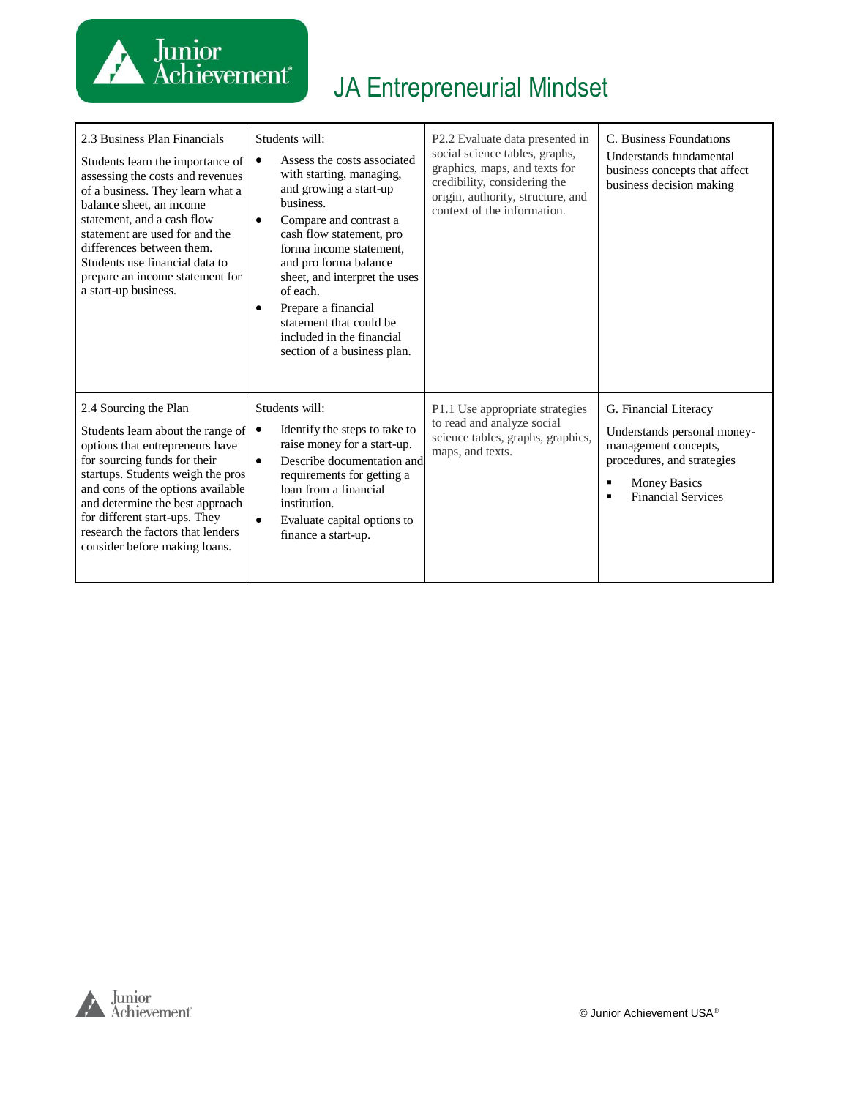

| 2.3 Business Plan Financials<br>Students learn the importance of<br>assessing the costs and revenues<br>of a business. They learn what a<br>balance sheet, an income<br>statement, and a cash flow<br>statement are used for and the<br>differences between them.<br>Students use financial data to<br>prepare an income statement for<br>a start-up business. | Students will:<br>Assess the costs associated<br>$\bullet$<br>with starting, managing,<br>and growing a start-up<br>business.<br>Compare and contrast a<br>$\bullet$<br>cash flow statement, pro<br>forma income statement.<br>and pro forma balance<br>sheet, and interpret the uses<br>of each.<br>Prepare a financial<br>$\bullet$<br>statement that could be<br>included in the financial<br>section of a business plan. | P2.2 Evaluate data presented in<br>social science tables, graphs,<br>graphics, maps, and texts for<br>credibility, considering the<br>origin, authority, structure, and<br>context of the information. | C. Business Foundations<br>Understands fundamental<br>business concepts that affect<br>business decision making                                                |
|----------------------------------------------------------------------------------------------------------------------------------------------------------------------------------------------------------------------------------------------------------------------------------------------------------------------------------------------------------------|------------------------------------------------------------------------------------------------------------------------------------------------------------------------------------------------------------------------------------------------------------------------------------------------------------------------------------------------------------------------------------------------------------------------------|--------------------------------------------------------------------------------------------------------------------------------------------------------------------------------------------------------|----------------------------------------------------------------------------------------------------------------------------------------------------------------|
| 2.4 Sourcing the Plan<br>Students learn about the range of<br>options that entrepreneurs have<br>for sourcing funds for their<br>startups. Students weigh the pros<br>and cons of the options available<br>and determine the best approach<br>for different start-ups. They<br>research the factors that lenders<br>consider before making loans.              | Students will:<br>Identify the steps to take to<br>$\bullet$<br>raise money for a start-up.<br>Describe documentation and<br>$\bullet$<br>requirements for getting a<br>loan from a financial<br>institution.<br>$\bullet$<br>Evaluate capital options to<br>finance a start-up.                                                                                                                                             | P1.1 Use appropriate strategies<br>to read and analyze social<br>science tables, graphs, graphics,<br>maps, and texts.                                                                                 | G. Financial Literacy<br>Understands personal money-<br>management concepts,<br>procedures, and strategies<br><b>Money Basics</b><br><b>Financial Services</b> |

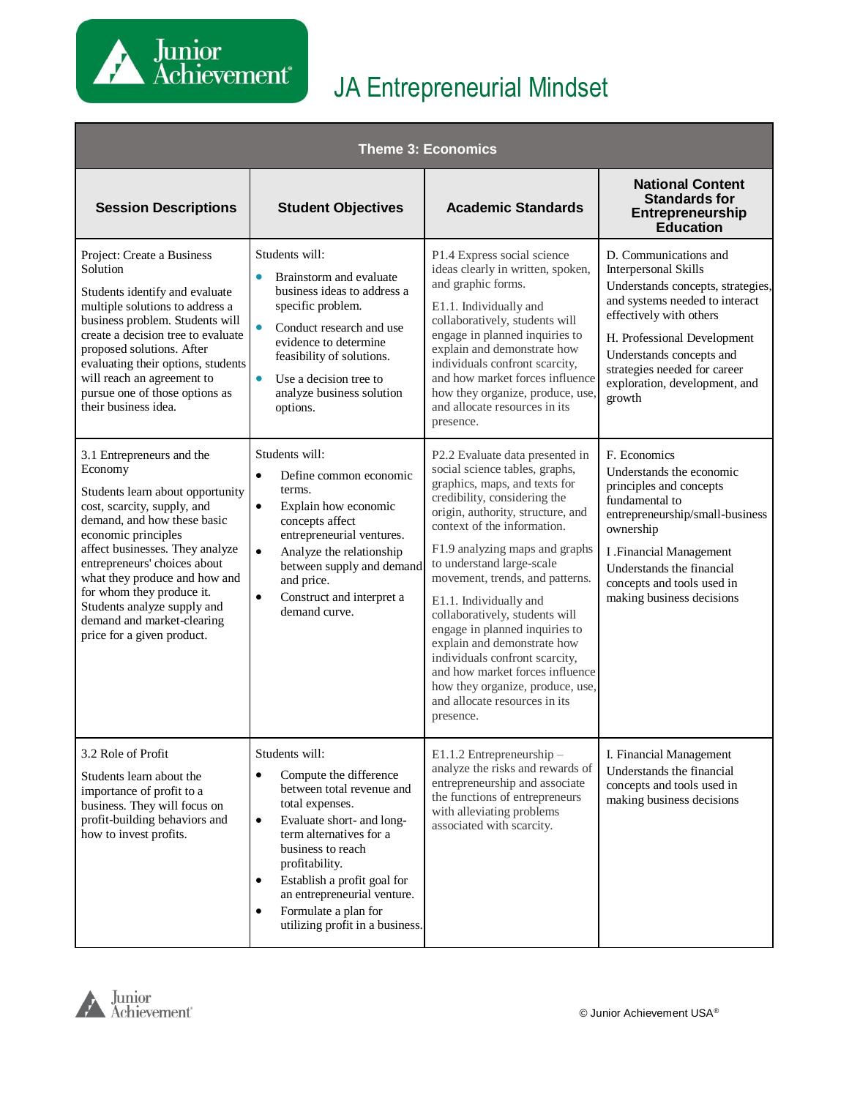

| <b>Theme 3: Economics</b>                                                                                                                                                                                                                                                                                                                                                                 |                                                                                                                                                                                                                                                                                                                                                                      |                                                                                                                                                                                                                                                                                                                                                                                                                                                                                                                                                                                              |                                                                                                                                                                                                                                                                                       |
|-------------------------------------------------------------------------------------------------------------------------------------------------------------------------------------------------------------------------------------------------------------------------------------------------------------------------------------------------------------------------------------------|----------------------------------------------------------------------------------------------------------------------------------------------------------------------------------------------------------------------------------------------------------------------------------------------------------------------------------------------------------------------|----------------------------------------------------------------------------------------------------------------------------------------------------------------------------------------------------------------------------------------------------------------------------------------------------------------------------------------------------------------------------------------------------------------------------------------------------------------------------------------------------------------------------------------------------------------------------------------------|---------------------------------------------------------------------------------------------------------------------------------------------------------------------------------------------------------------------------------------------------------------------------------------|
| <b>Session Descriptions</b>                                                                                                                                                                                                                                                                                                                                                               | <b>Student Objectives</b>                                                                                                                                                                                                                                                                                                                                            | <b>Academic Standards</b>                                                                                                                                                                                                                                                                                                                                                                                                                                                                                                                                                                    | <b>National Content</b><br><b>Standards for</b><br>Entrepreneurship<br><b>Education</b>                                                                                                                                                                                               |
| Project: Create a Business<br>Solution<br>Students identify and evaluate<br>multiple solutions to address a<br>business problem. Students will<br>create a decision tree to evaluate<br>proposed solutions. After<br>evaluating their options, students<br>will reach an agreement to<br>pursue one of those options as<br>their business idea.                                           | Students will:<br>Brainstorm and evaluate<br>$\bullet$<br>business ideas to address a<br>specific problem.<br>Conduct research and use<br>evidence to determine<br>feasibility of solutions.<br>Use a decision tree to<br>$\bullet$<br>analyze business solution<br>options.                                                                                         | P1.4 Express social science<br>ideas clearly in written, spoken,<br>and graphic forms.<br>E1.1. Individually and<br>collaboratively, students will<br>engage in planned inquiries to<br>explain and demonstrate how<br>individuals confront scarcity,<br>and how market forces influence<br>how they organize, produce, use,<br>and allocate resources in its<br>presence.                                                                                                                                                                                                                   | D. Communications and<br>Interpersonal Skills<br>Understands concepts, strategies,<br>and systems needed to interact<br>effectively with others<br>H. Professional Development<br>Understands concepts and<br>strategies needed for career<br>exploration, development, and<br>growth |
| 3.1 Entrepreneurs and the<br>Economy<br>Students learn about opportunity<br>cost, scarcity, supply, and<br>demand, and how these basic<br>economic principles<br>affect businesses. They analyze<br>entrepreneurs' choices about<br>what they produce and how and<br>for whom they produce it.<br>Students analyze supply and<br>demand and market-clearing<br>price for a given product. | Students will:<br>$\bullet$<br>Define common economic<br>terms.<br>$\bullet$<br>Explain how economic<br>concepts affect<br>entrepreneurial ventures.<br>Analyze the relationship<br>$\bullet$<br>between supply and demand<br>and price.<br>Construct and interpret a<br>$\bullet$<br>demand curve.                                                                  | P2.2 Evaluate data presented in<br>social science tables, graphs,<br>graphics, maps, and texts for<br>credibility, considering the<br>origin, authority, structure, and<br>context of the information.<br>F1.9 analyzing maps and graphs<br>to understand large-scale<br>movement, trends, and patterns.<br>E1.1. Individually and<br>collaboratively, students will<br>engage in planned inquiries to<br>explain and demonstrate how<br>individuals confront scarcity,<br>and how market forces influence<br>how they organize, produce, use,<br>and allocate resources in its<br>presence. | F. Economics<br>Understands the economic<br>principles and concepts<br>fundamental to<br>entrepreneurship/small-business<br>ownership<br><b>I</b> .Financial Management<br>Understands the financial<br>concepts and tools used in<br>making business decisions                       |
| 3.2 Role of Profit<br>Students learn about the<br>importance of profit to a<br>business. They will focus on<br>profit-building behaviors and<br>how to invest profits.                                                                                                                                                                                                                    | Students will:<br>Compute the difference<br>$\bullet$<br>between total revenue and<br>total expenses.<br>Evaluate short- and long-<br>$\bullet$<br>term alternatives for a<br>business to reach<br>profitability.<br>Establish a profit goal for<br>$\bullet$<br>an entrepreneurial venture.<br>Formulate a plan for<br>$\bullet$<br>utilizing profit in a business. | E1.1.2 Entrepreneurship -<br>analyze the risks and rewards of<br>entrepreneurship and associate<br>the functions of entrepreneurs<br>with alleviating problems<br>associated with scarcity.                                                                                                                                                                                                                                                                                                                                                                                                  | I. Financial Management<br>Understands the financial<br>concepts and tools used in<br>making business decisions                                                                                                                                                                       |

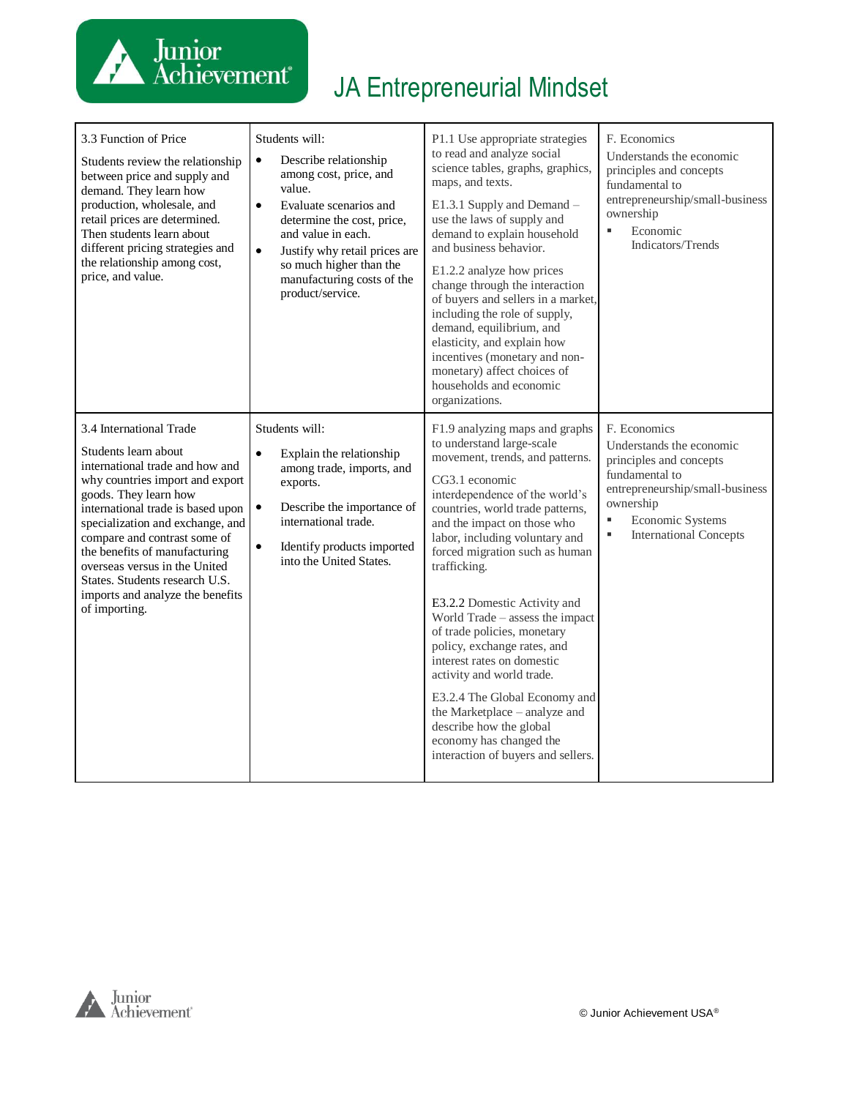

| 3.3 Function of Price<br>Students review the relationship<br>between price and supply and<br>demand. They learn how<br>production, wholesale, and<br>retail prices are determined.<br>Then students learn about<br>different pricing strategies and<br>the relationship among cost,<br>price, and value.                                                                                                         | Students will:<br>Describe relationship<br>$\bullet$<br>among cost, price, and<br>value.<br>$\bullet$<br>Evaluate scenarios and<br>determine the cost, price,<br>and value in each.<br>$\bullet$<br>Justify why retail prices are<br>so much higher than the<br>manufacturing costs of the<br>product/service. | P1.1 Use appropriate strategies<br>to read and analyze social<br>science tables, graphs, graphics,<br>maps, and texts.<br>E1.3.1 Supply and Demand -<br>use the laws of supply and<br>demand to explain household<br>and business behavior.<br>E1.2.2 analyze how prices<br>change through the interaction<br>of buyers and sellers in a market,<br>including the role of supply,<br>demand, equilibrium, and<br>elasticity, and explain how<br>incentives (monetary and non-<br>monetary) affect choices of<br>households and economic<br>organizations.                                                                                                           | F. Economics<br>Understands the economic<br>principles and concepts<br>fundamental to<br>entrepreneurship/small-business<br>ownership<br>Economic<br>٠<br>Indicators/Trends                           |
|------------------------------------------------------------------------------------------------------------------------------------------------------------------------------------------------------------------------------------------------------------------------------------------------------------------------------------------------------------------------------------------------------------------|----------------------------------------------------------------------------------------------------------------------------------------------------------------------------------------------------------------------------------------------------------------------------------------------------------------|---------------------------------------------------------------------------------------------------------------------------------------------------------------------------------------------------------------------------------------------------------------------------------------------------------------------------------------------------------------------------------------------------------------------------------------------------------------------------------------------------------------------------------------------------------------------------------------------------------------------------------------------------------------------|-------------------------------------------------------------------------------------------------------------------------------------------------------------------------------------------------------|
| 3.4 International Trade<br>Students learn about<br>international trade and how and<br>why countries import and export<br>goods. They learn how<br>international trade is based upon<br>specialization and exchange, and<br>compare and contrast some of<br>the benefits of manufacturing<br>overseas versus in the United<br>States. Students research U.S.<br>imports and analyze the benefits<br>of importing. | Students will:<br>$\bullet$<br>Explain the relationship<br>among trade, imports, and<br>exports.<br>Describe the importance of<br>$\bullet$<br>international trade.<br>Identify products imported<br>$\bullet$<br>into the United States.                                                                      | F1.9 analyzing maps and graphs<br>to understand large-scale<br>movement, trends, and patterns.<br>CG3.1 economic<br>interdependence of the world's<br>countries, world trade patterns,<br>and the impact on those who<br>labor, including voluntary and<br>forced migration such as human<br>trafficking.<br>E3.2.2 Domestic Activity and<br>World Trade - assess the impact<br>of trade policies, monetary<br>policy, exchange rates, and<br>interest rates on domestic<br>activity and world trade.<br>E3.2.4 The Global Economy and<br>the Marketplace - analyze and<br>describe how the global<br>economy has changed the<br>interaction of buyers and sellers. | F. Economics<br>Understands the economic<br>principles and concepts<br>fundamental to<br>entrepreneurship/small-business<br>ownership<br>Economic Systems<br>٠<br>×,<br><b>International Concepts</b> |

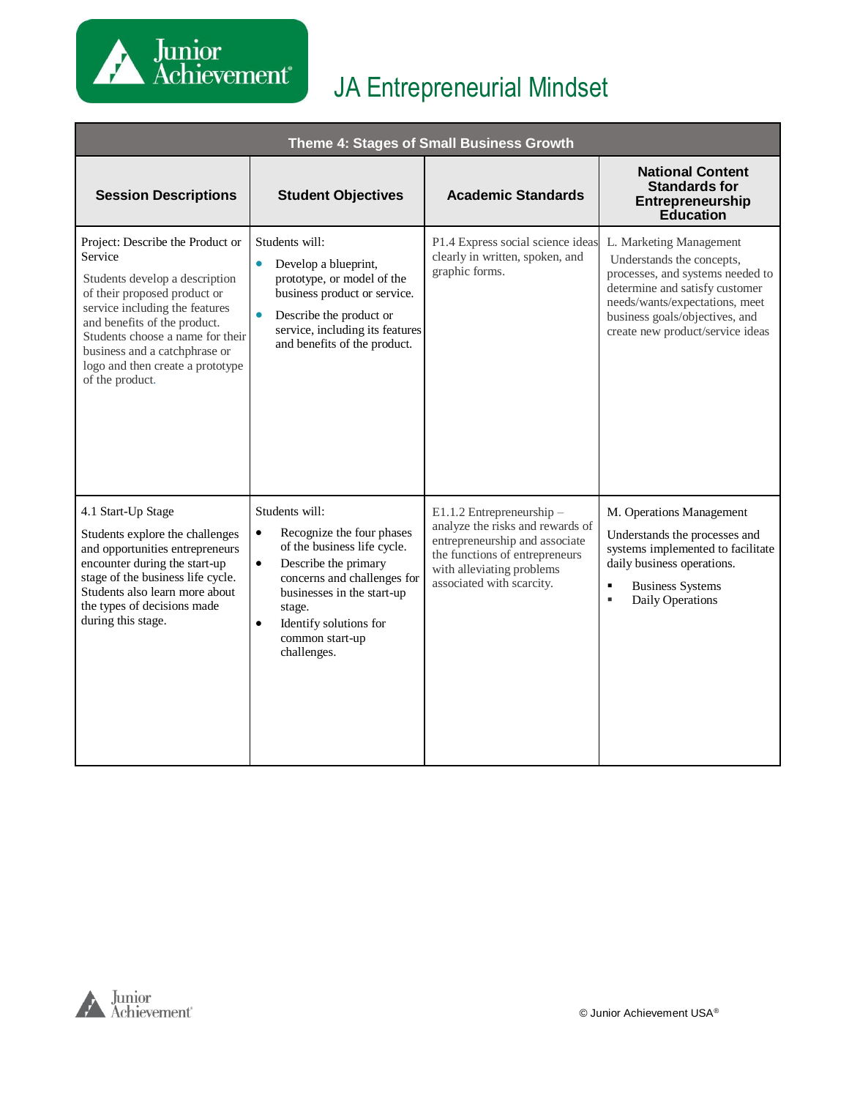

| Theme 4: Stages of Small Business Growth                                                                                                                                                                                                                                                                    |                                                                                                                                                                                                                                                                              |                                                                                                                                                                                             |                                                                                                                                                                                                                                    |  |
|-------------------------------------------------------------------------------------------------------------------------------------------------------------------------------------------------------------------------------------------------------------------------------------------------------------|------------------------------------------------------------------------------------------------------------------------------------------------------------------------------------------------------------------------------------------------------------------------------|---------------------------------------------------------------------------------------------------------------------------------------------------------------------------------------------|------------------------------------------------------------------------------------------------------------------------------------------------------------------------------------------------------------------------------------|--|
| <b>Session Descriptions</b>                                                                                                                                                                                                                                                                                 | <b>Student Objectives</b>                                                                                                                                                                                                                                                    | <b>Academic Standards</b>                                                                                                                                                                   | <b>National Content</b><br><b>Standards for</b><br>Entrepreneurship<br><b>Education</b>                                                                                                                                            |  |
| Project: Describe the Product or<br>Service<br>Students develop a description<br>of their proposed product or<br>service including the features<br>and benefits of the product.<br>Students choose a name for their<br>business and a catchphrase or<br>logo and then create a prototype<br>of the product. | Students will:<br>Develop a blueprint,<br>$\bullet$<br>prototype, or model of the<br>business product or service.<br>Describe the product or<br>service, including its features<br>and benefits of the product.                                                              | P1.4 Express social science ideas<br>clearly in written, spoken, and<br>graphic forms.                                                                                                      | L. Marketing Management<br>Understands the concepts,<br>processes, and systems needed to<br>determine and satisfy customer<br>needs/wants/expectations, meet<br>business goals/objectives, and<br>create new product/service ideas |  |
| 4.1 Start-Up Stage<br>Students explore the challenges<br>and opportunities entrepreneurs<br>encounter during the start-up<br>stage of the business life cycle.<br>Students also learn more about<br>the types of decisions made<br>during this stage.                                                       | Students will:<br>Recognize the four phases<br>$\bullet$<br>of the business life cycle.<br>Describe the primary<br>$\bullet$<br>concerns and challenges for<br>businesses in the start-up<br>stage.<br>Identify solutions for<br>$\bullet$<br>common start-up<br>challenges. | E1.1.2 Entrepreneurship -<br>analyze the risks and rewards of<br>entrepreneurship and associate<br>the functions of entrepreneurs<br>with alleviating problems<br>associated with scarcity. | M. Operations Management<br>Understands the processes and<br>systems implemented to facilitate<br>daily business operations.<br><b>Business Systems</b><br>$\blacksquare$<br>Daily Operations<br>٠                                 |  |

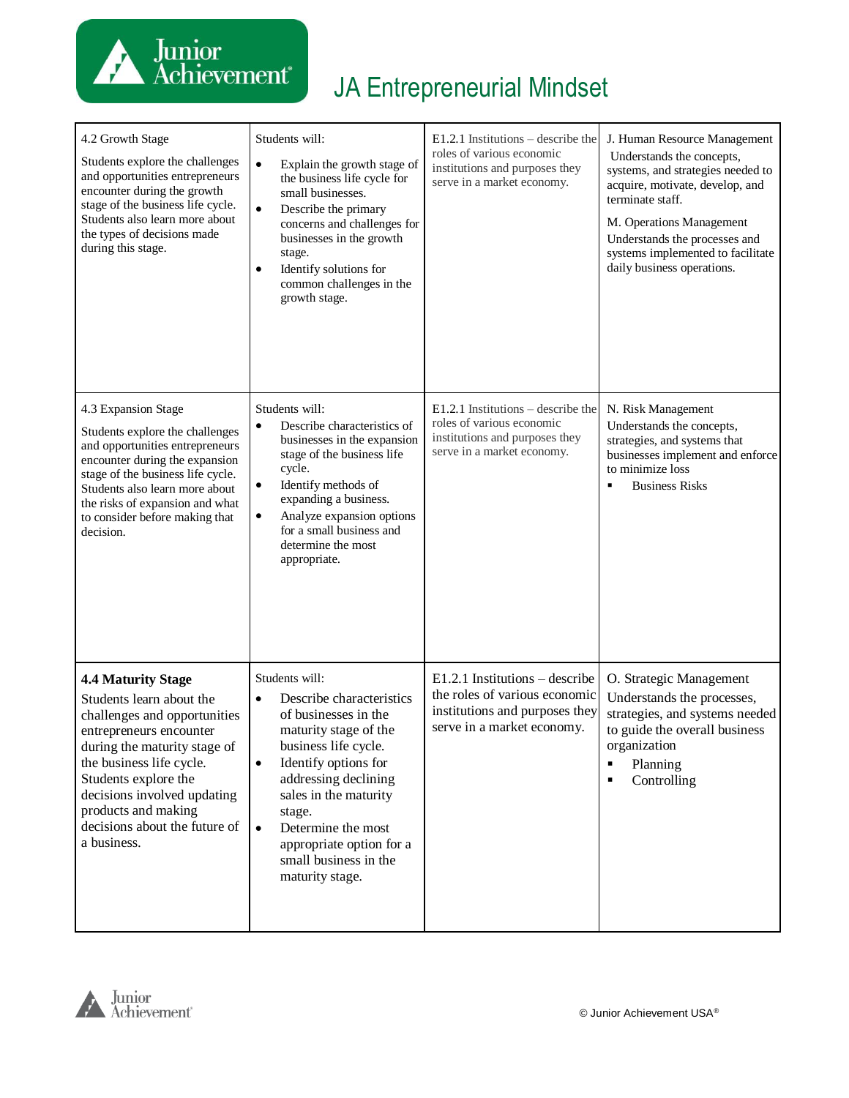

| 4.2 Growth Stage<br>Students explore the challenges<br>and opportunities entrepreneurs<br>encounter during the growth<br>stage of the business life cycle.<br>Students also learn more about<br>the types of decisions made<br>during this stage.                                                          | Students will:<br>$\bullet$<br>Explain the growth stage of<br>the business life cycle for<br>small businesses.<br>$\bullet$<br>Describe the primary<br>concerns and challenges for<br>businesses in the growth<br>stage.<br>Identify solutions for<br>٠<br>common challenges in the<br>growth stage.                                        | $E1.2.1$ Institutions – describe the<br>roles of various economic<br>institutions and purposes they<br>serve in a market economy. | J. Human Resource Management<br>Understands the concepts,<br>systems, and strategies needed to<br>acquire, motivate, develop, and<br>terminate staff.<br>M. Operations Management<br>Understands the processes and<br>systems implemented to facilitate<br>daily business operations. |
|------------------------------------------------------------------------------------------------------------------------------------------------------------------------------------------------------------------------------------------------------------------------------------------------------------|---------------------------------------------------------------------------------------------------------------------------------------------------------------------------------------------------------------------------------------------------------------------------------------------------------------------------------------------|-----------------------------------------------------------------------------------------------------------------------------------|---------------------------------------------------------------------------------------------------------------------------------------------------------------------------------------------------------------------------------------------------------------------------------------|
| 4.3 Expansion Stage<br>Students explore the challenges<br>and opportunities entrepreneurs<br>encounter during the expansion<br>stage of the business life cycle.<br>Students also learn more about<br>the risks of expansion and what<br>to consider before making that<br>decision.                       | Students will:<br>Describe characteristics of<br>٠<br>businesses in the expansion<br>stage of the business life<br>cycle.<br>Identify methods of<br>$\bullet$<br>expanding a business.<br>Analyze expansion options<br>$\bullet$<br>for a small business and<br>determine the most<br>appropriate.                                          | $E1.2.1$ Institutions – describe the<br>roles of various economic<br>institutions and purposes they<br>serve in a market economy. | N. Risk Management<br>Understands the concepts,<br>strategies, and systems that<br>businesses implement and enforce<br>to minimize loss<br><b>Business Risks</b><br>в                                                                                                                 |
| <b>4.4 Maturity Stage</b><br>Students learn about the<br>challenges and opportunities<br>entrepreneurs encounter<br>during the maturity stage of<br>the business life cycle.<br>Students explore the<br>decisions involved updating<br>products and making<br>decisions about the future of<br>a business. | Students will:<br>Describe characteristics<br>$\bullet$<br>of businesses in the<br>maturity stage of the<br>business life cycle.<br>Identify options for<br>$\bullet$<br>addressing declining<br>sales in the maturity<br>stage.<br>Determine the most<br>$\bullet$<br>appropriate option for a<br>small business in the<br>maturity stage. | $E1.2.1$ Institutions – describe<br>the roles of various economic<br>institutions and purposes they<br>serve in a market economy. | O. Strategic Management<br>Understands the processes,<br>strategies, and systems needed<br>to guide the overall business<br>organization<br>$\blacksquare$<br>Planning<br>Controlling<br>$\blacksquare$                                                                               |